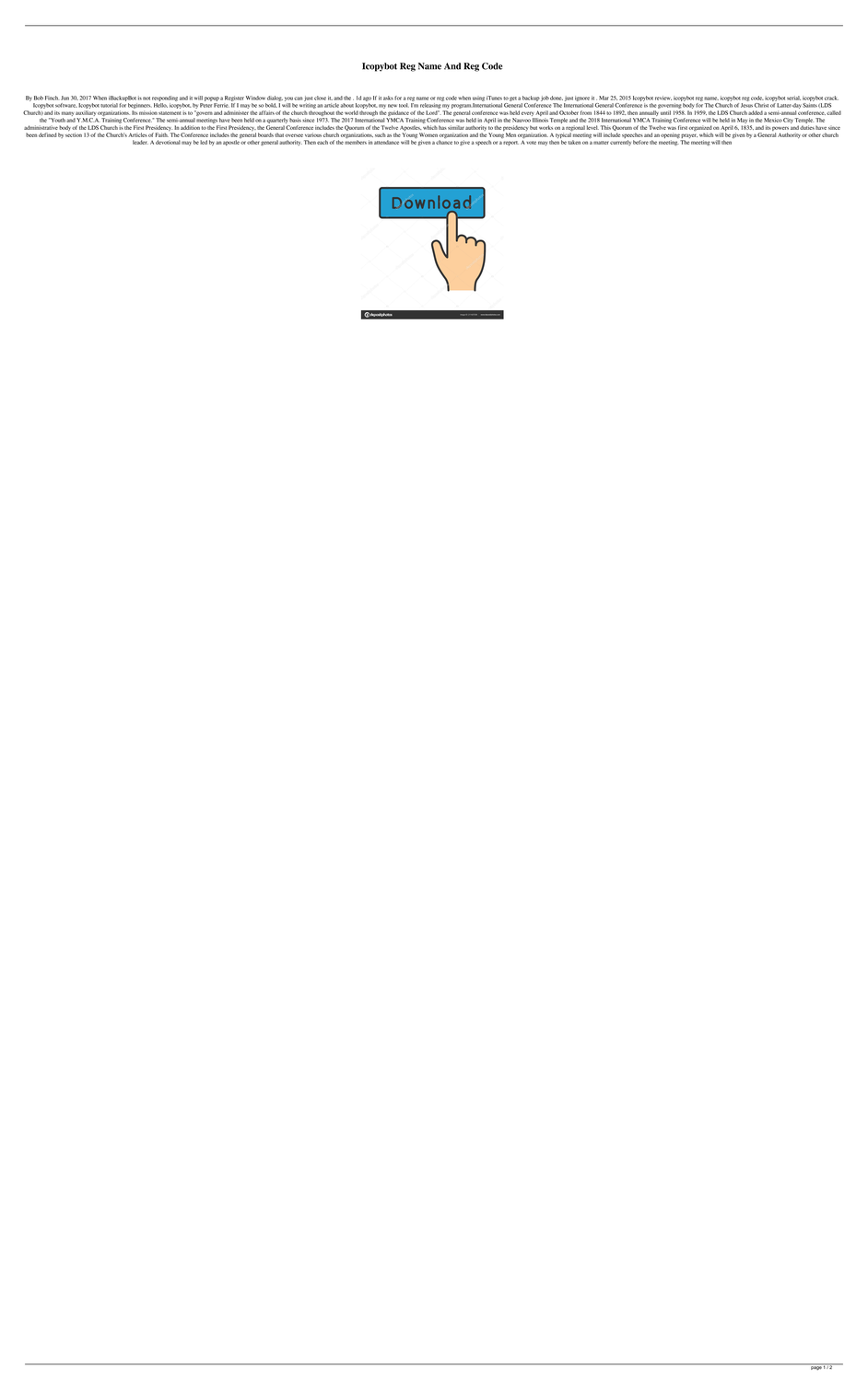## **Icopybot Reg Name And Reg Code**

By Bob Finch. Jun 30, 2017 When iBackupBot is not responding and it will popup a Register Window dialog, you can just close it, and the . 1d ago If it asks for a reg name or reg code when using iTunes to get a backup job d Icopybot software, Icopybot tutorial for beginners. Hello, icopybot, by Peter Ferrie. If I may be so bold, I will be writing an article about Icopybot, my new tool. I'm releasing my program.International General Conference Church) and its many auxiliary organizations. Its mission statement is to "govern and administer the affairs of the church throughout the world through the guidance of the Lord". The general conference was held every April the "Youth and Y.M.C.A. Training Conference." The semi-annual meetings have been held on a quarterly basis since 1973. The 2017 International YMCA Training Conference was held in April in the Nauvoo Illinois Temple and the administrative body of the LDS Church is the First Presidency. In addition to the First Presidency, the General Conference includes the Quorum of the Twelve Apostles, which has similar authority to the presidency but works been defined by section 13 of the Church's Articles of Faith. The Conference includes the general boards that oversee various church organizations, such as the Young Women organization and the Young Men organization. A typ leader. A devotional may be led by an apostle or other general authority. Then each of the members in attendance will be given a chance to give a speech or a report. A vote may then be taken on a matter currently before th